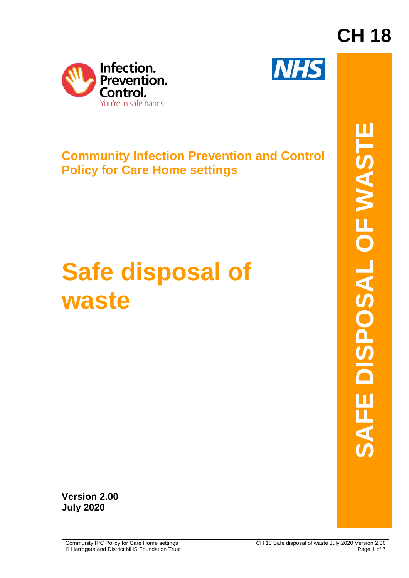



### **Community Infection Prevention and Control Policy for Care Home settings**

# **Safe disposal of waste**

**CH 18**

**Version 2.00 July 2020**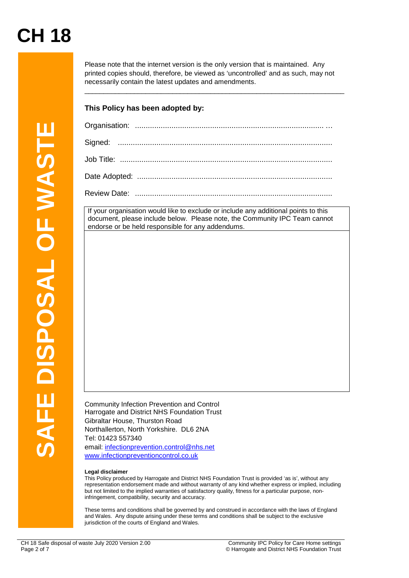Please note that the internet version is the only version that is maintained. Any printed copies should, therefore, be viewed as 'uncontrolled' and as such, may not necessarily contain the latest updates and amendments.

\_\_\_\_\_\_\_\_\_\_\_\_\_\_\_\_\_\_\_\_\_\_\_\_\_\_\_\_\_\_\_\_\_\_\_\_\_\_\_\_\_\_\_\_\_\_\_\_\_\_\_\_\_\_\_\_\_\_\_\_\_\_\_\_\_\_\_\_

#### **This Policy has been adopted by:**

|                 | Signed:                                                                                                                                                                                                                                                                                                                                                                                                |
|-----------------|--------------------------------------------------------------------------------------------------------------------------------------------------------------------------------------------------------------------------------------------------------------------------------------------------------------------------------------------------------------------------------------------------------|
|                 |                                                                                                                                                                                                                                                                                                                                                                                                        |
|                 |                                                                                                                                                                                                                                                                                                                                                                                                        |
|                 |                                                                                                                                                                                                                                                                                                                                                                                                        |
|                 | If your organisation would like to exclude or include any additional points to this                                                                                                                                                                                                                                                                                                                    |
| <b>OF WASTE</b> | document, please include below. Please note, the Community IPC Team cannot<br>endorse or be held responsible for any addendums.                                                                                                                                                                                                                                                                        |
|                 |                                                                                                                                                                                                                                                                                                                                                                                                        |
|                 |                                                                                                                                                                                                                                                                                                                                                                                                        |
| <b>DISPOSAL</b> |                                                                                                                                                                                                                                                                                                                                                                                                        |
|                 |                                                                                                                                                                                                                                                                                                                                                                                                        |
|                 |                                                                                                                                                                                                                                                                                                                                                                                                        |
|                 |                                                                                                                                                                                                                                                                                                                                                                                                        |
|                 |                                                                                                                                                                                                                                                                                                                                                                                                        |
|                 |                                                                                                                                                                                                                                                                                                                                                                                                        |
|                 |                                                                                                                                                                                                                                                                                                                                                                                                        |
|                 |                                                                                                                                                                                                                                                                                                                                                                                                        |
|                 |                                                                                                                                                                                                                                                                                                                                                                                                        |
|                 | Community Infection Prevention and Control                                                                                                                                                                                                                                                                                                                                                             |
|                 | Harrogate and District NHS Foundation Trust<br>Gibraltar House, Thurston Road                                                                                                                                                                                                                                                                                                                          |
|                 | Northallerton, North Yorkshire. DL6 2NA                                                                                                                                                                                                                                                                                                                                                                |
| $\mathbf{z}$    | Tel: 01423 557340<br>email: infectionprevention.control@nhs.net                                                                                                                                                                                                                                                                                                                                        |
|                 | www.infectionpreventioncontrol.co.uk                                                                                                                                                                                                                                                                                                                                                                   |
|                 | Legal disclaimer<br>This Policy produced by Harrogate and District NHS Foundation Trust is provided 'as is', without any<br>representation endorsement made and without warranty of any kind whether express or implied, including<br>but not limited to the implied warranties of satisfactory quality, fitness for a particular purpose, non-<br>infringement, compatibility, security and accuracy. |
|                 | These terms and conditions shall be governed by and construed in accordance with the laws of England<br>and Wales. Any dispute arising under these terms and conditions shall be subject to the exclusive<br>jurisdiction of the courts of England and Wales.                                                                                                                                          |
|                 | CH 18 Safe disposal of waste July 2020 Version 2.00<br>Community IPC Policy for Care Home settings                                                                                                                                                                                                                                                                                                     |
| Page 2 of 7     | © Harrogate and District NHS Foundation Trust                                                                                                                                                                                                                                                                                                                                                          |

#### **Legal disclaimer**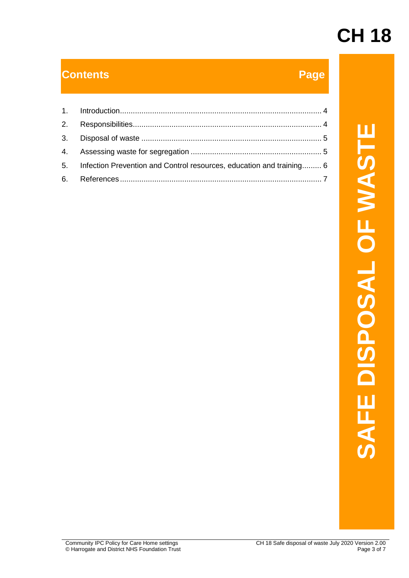#### **Contents Page**

| 1. |                                                                                                                                                     |                                            |
|----|-----------------------------------------------------------------------------------------------------------------------------------------------------|--------------------------------------------|
| 2. |                                                                                                                                                     |                                            |
| 3. |                                                                                                                                                     |                                            |
| 4. |                                                                                                                                                     |                                            |
| 5. | Infection Prevention and Control resources, education and training 6                                                                                |                                            |
| 6. |                                                                                                                                                     | E WAS<br>SAL<br>$\mathbf{C}$<br><b>SAF</b> |
|    | Community IPC Policy for Care Home settings<br>CH 18 Safe disposal of waste July 2020 Version 2.00<br>© Harrogate and District NHS Foundation Trust | Page 3 of 7                                |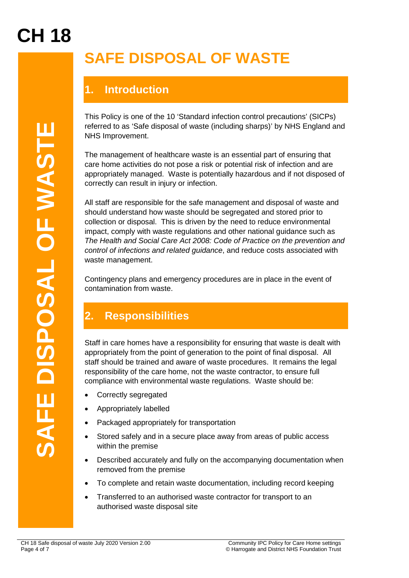### **SAFE DISPOSAL OF WASTE**

### **1. Introduction**

This Policy is one of the 10 'Standard infection control precautions' (SICPs) referred to as 'Safe disposal of waste (including sharps)' by NHS England and NHS Improvement.

The management of healthcare waste is an essential part of ensuring that care home activities do not pose a risk or potential risk of infection and are appropriately managed. Waste is potentially hazardous and if not disposed of correctly can result in injury or infection.

**Page 10 of 7 Of 8 of 7 Of 8 of 7 Of 8 of 7 Of 8 of 7 Of 8 of 10 of 10 of 10 of 10 of 10 of 10 of 10 of 10 of 10 of 10 of 10 of 10 of 10 of 10 of 10 of 10 of 10 of 10 of 10 of 10 of 10 of 10 of 10 of 10 of 10 of 10 of 10 o** All staff are responsible for the safe management and disposal of waste and should understand how waste should be segregated and stored prior to collection or disposal. This is driven by the need to reduce environmental impact, comply with waste regulations and other national guidance such as *The Health and Social Care Act 2008: Code of Practice on the prevention and control of infections and related guidance*, and reduce costs associated with waste management.

Contingency plans and emergency procedures are in place in the event of contamination from waste.

### **2. Responsibilities**

Staff in care homes have a responsibility for ensuring that waste is dealt with appropriately from the point of generation to the point of final disposal. All staff should be trained and aware of waste procedures. It remains the legal responsibility of the care home, not the waste contractor, to ensure full compliance with environmental waste regulations. Waste should be:

- Correctly segregated
- Appropriately labelled
- Packaged appropriately for transportation
- Stored safely and in a secure place away from areas of public access within the premise
- Described accurately and fully on the accompanying documentation when removed from the premise
- To complete and retain waste documentation, including record keeping
- Transferred to an authorised waste contractor for transport to an authorised waste disposal site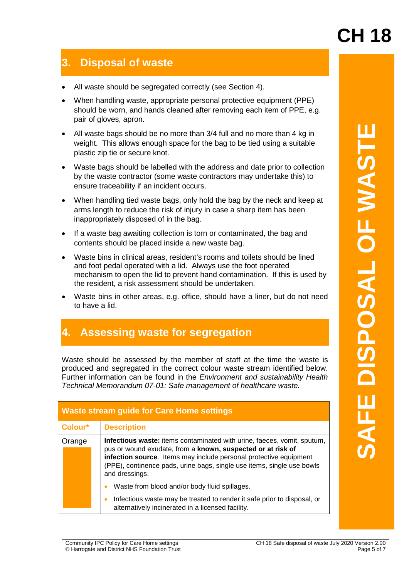#### **3. Disposal of waste**

- All waste should be segregated correctly (see Section 4).
- When handling waste, appropriate personal protective equipment (PPE) should be worn, and hands cleaned after removing each item of PPE, e.g. pair of gloves, apron.
- All waste bags should be no more than 3/4 full and no more than 4 kg in weight. This allows enough space for the bag to be tied using a suitable plastic zip tie or secure knot.
- Waste bags should be labelled with the address and date prior to collection by the waste contractor (some waste contractors may undertake this) to ensure traceability if an incident occurs.
- When handling tied waste bags, only hold the bag by the neck and keep at arms length to reduce the risk of injury in case a sharp item has been inappropriately disposed of in the bag.
- If a waste bag awaiting collection is torn or contaminated, the bag and contents should be placed inside a new waste bag.
- Waste bins in clinical areas, resident's rooms and toilets should be lined and foot pedal operated with a lid. Always use the foot operated mechanism to open the lid to prevent hand contamination. If this is used by the resident, a risk assessment should be undertaken.
- Waste bins in other areas, e.g. office, should have a liner, but do not need to have a lid.

#### **4. Assessing waste for segregation**

| <b>OF WAST</b><br>Waste bags should be labelled with the address and date prior to collection<br>by the waste contractor (some waste contractors may undertake this) to<br>ensure traceability if an incident occurs.<br>When handling tied waste bags, only hold the bag by the neck and keep at<br>arms length to reduce the risk of injury in case a sharp item has been<br>inappropriately disposed of in the bag.<br>If a waste bag awaiting collection is torn or contaminated, the bag and<br>contents should be placed inside a new waste bag.<br>Waste bins in clinical areas, resident's rooms and toilets should be lined<br><b>JRSPOSRL</b><br>and foot pedal operated with a lid. Always use the foot operated<br>mechanism to open the lid to prevent hand contamination. If this is used by<br>the resident, a risk assessment should be undertaken.<br>Waste bins in other areas, e.g. office, should have a liner, but do not need<br>to have a lid.<br>4. Assessing waste for segregation<br>Waste should be assessed by the member of staff at the time the waste is<br>produced and segregated in the correct colour waste stream identified below.<br>Further information can be found in the <i>Environment and sustainability Health</i><br>Technical Memorandum 07-01: Safe management of healthcare waste.<br><b>Waste stream guide for Care Home settings</b><br>Colour*<br><b>Description</b><br>Orange<br>Infectious waste: items contaminated with urine, faeces, vomit, sputum,<br>pus or wound exudate, from a known, suspected or at risk of<br>infection source. Items may include personal protective equipment<br>(PPE), continence pads, urine bags, single use items, single use bowls<br>and dressings.<br>Waste from blood and/or body fluid spillages.<br>Infectious waste may be treated to render it safe prior to disposal, or<br>alternatively incinerated in a licensed facility. |  | All waste bags should be no more than 3/4 full and no more than 4 kg in<br>weight. This allows enough space for the bag to be tied using a suitable<br>plastic zip tie or secure knot. |  |  |  |  |
|--------------------------------------------------------------------------------------------------------------------------------------------------------------------------------------------------------------------------------------------------------------------------------------------------------------------------------------------------------------------------------------------------------------------------------------------------------------------------------------------------------------------------------------------------------------------------------------------------------------------------------------------------------------------------------------------------------------------------------------------------------------------------------------------------------------------------------------------------------------------------------------------------------------------------------------------------------------------------------------------------------------------------------------------------------------------------------------------------------------------------------------------------------------------------------------------------------------------------------------------------------------------------------------------------------------------------------------------------------------------------------------------------------------------------------------------------------------------------------------------------------------------------------------------------------------------------------------------------------------------------------------------------------------------------------------------------------------------------------------------------------------------------------------------------------------------------------------------------------------------------------------------------------------------------------|--|----------------------------------------------------------------------------------------------------------------------------------------------------------------------------------------|--|--|--|--|
|                                                                                                                                                                                                                                                                                                                                                                                                                                                                                                                                                                                                                                                                                                                                                                                                                                                                                                                                                                                                                                                                                                                                                                                                                                                                                                                                                                                                                                                                                                                                                                                                                                                                                                                                                                                                                                                                                                                                |  |                                                                                                                                                                                        |  |  |  |  |
|                                                                                                                                                                                                                                                                                                                                                                                                                                                                                                                                                                                                                                                                                                                                                                                                                                                                                                                                                                                                                                                                                                                                                                                                                                                                                                                                                                                                                                                                                                                                                                                                                                                                                                                                                                                                                                                                                                                                |  |                                                                                                                                                                                        |  |  |  |  |
|                                                                                                                                                                                                                                                                                                                                                                                                                                                                                                                                                                                                                                                                                                                                                                                                                                                                                                                                                                                                                                                                                                                                                                                                                                                                                                                                                                                                                                                                                                                                                                                                                                                                                                                                                                                                                                                                                                                                |  |                                                                                                                                                                                        |  |  |  |  |
|                                                                                                                                                                                                                                                                                                                                                                                                                                                                                                                                                                                                                                                                                                                                                                                                                                                                                                                                                                                                                                                                                                                                                                                                                                                                                                                                                                                                                                                                                                                                                                                                                                                                                                                                                                                                                                                                                                                                |  |                                                                                                                                                                                        |  |  |  |  |
|                                                                                                                                                                                                                                                                                                                                                                                                                                                                                                                                                                                                                                                                                                                                                                                                                                                                                                                                                                                                                                                                                                                                                                                                                                                                                                                                                                                                                                                                                                                                                                                                                                                                                                                                                                                                                                                                                                                                |  |                                                                                                                                                                                        |  |  |  |  |
|                                                                                                                                                                                                                                                                                                                                                                                                                                                                                                                                                                                                                                                                                                                                                                                                                                                                                                                                                                                                                                                                                                                                                                                                                                                                                                                                                                                                                                                                                                                                                                                                                                                                                                                                                                                                                                                                                                                                |  |                                                                                                                                                                                        |  |  |  |  |
|                                                                                                                                                                                                                                                                                                                                                                                                                                                                                                                                                                                                                                                                                                                                                                                                                                                                                                                                                                                                                                                                                                                                                                                                                                                                                                                                                                                                                                                                                                                                                                                                                                                                                                                                                                                                                                                                                                                                |  |                                                                                                                                                                                        |  |  |  |  |
|                                                                                                                                                                                                                                                                                                                                                                                                                                                                                                                                                                                                                                                                                                                                                                                                                                                                                                                                                                                                                                                                                                                                                                                                                                                                                                                                                                                                                                                                                                                                                                                                                                                                                                                                                                                                                                                                                                                                |  |                                                                                                                                                                                        |  |  |  |  |
|                                                                                                                                                                                                                                                                                                                                                                                                                                                                                                                                                                                                                                                                                                                                                                                                                                                                                                                                                                                                                                                                                                                                                                                                                                                                                                                                                                                                                                                                                                                                                                                                                                                                                                                                                                                                                                                                                                                                |  |                                                                                                                                                                                        |  |  |  |  |
|                                                                                                                                                                                                                                                                                                                                                                                                                                                                                                                                                                                                                                                                                                                                                                                                                                                                                                                                                                                                                                                                                                                                                                                                                                                                                                                                                                                                                                                                                                                                                                                                                                                                                                                                                                                                                                                                                                                                |  |                                                                                                                                                                                        |  |  |  |  |
|                                                                                                                                                                                                                                                                                                                                                                                                                                                                                                                                                                                                                                                                                                                                                                                                                                                                                                                                                                                                                                                                                                                                                                                                                                                                                                                                                                                                                                                                                                                                                                                                                                                                                                                                                                                                                                                                                                                                |  |                                                                                                                                                                                        |  |  |  |  |
| Community IPC Policy for Care Home settings<br>CH 18 Safe disposal of waste July 2020 Version 2.00<br>© Harrogate and District NHS Foundation Trust<br>Page 5 of 7                                                                                                                                                                                                                                                                                                                                                                                                                                                                                                                                                                                                                                                                                                                                                                                                                                                                                                                                                                                                                                                                                                                                                                                                                                                                                                                                                                                                                                                                                                                                                                                                                                                                                                                                                             |  |                                                                                                                                                                                        |  |  |  |  |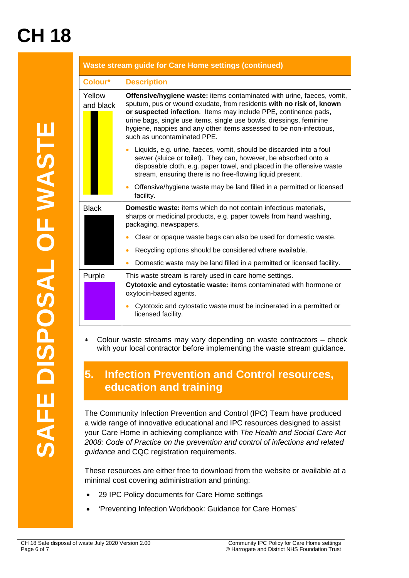|                                                                    |                                                                                                                                                                                                                                                                                                                                                                       | <b>Waste stream guide for Care Home settings (continued)</b>                                                                                                                                                                                                                                                                                                                                  |  |  |  |
|--------------------------------------------------------------------|-----------------------------------------------------------------------------------------------------------------------------------------------------------------------------------------------------------------------------------------------------------------------------------------------------------------------------------------------------------------------|-----------------------------------------------------------------------------------------------------------------------------------------------------------------------------------------------------------------------------------------------------------------------------------------------------------------------------------------------------------------------------------------------|--|--|--|
|                                                                    | Colour*                                                                                                                                                                                                                                                                                                                                                               | <b>Description</b>                                                                                                                                                                                                                                                                                                                                                                            |  |  |  |
|                                                                    | Yellow<br>and black                                                                                                                                                                                                                                                                                                                                                   | Offensive/hygiene waste: items contaminated with urine, faeces, vomit,<br>sputum, pus or wound exudate, from residents with no risk of, known<br>or suspected infection. Items may include PPE, continence pads,<br>urine bags, single use items, single use bowls, dressings, feminine<br>hygiene, nappies and any other items assessed to be non-infectious,<br>such as uncontaminated PPE. |  |  |  |
| SPOSAL OF WASTE                                                    |                                                                                                                                                                                                                                                                                                                                                                       | Liquids, e.g. urine, faeces, vomit, should be discarded into a foul<br>sewer (sluice or toilet). They can, however, be absorbed onto a<br>disposable cloth, e.g. paper towel, and placed in the offensive waste<br>stream, ensuring there is no free-flowing liquid present.                                                                                                                  |  |  |  |
|                                                                    |                                                                                                                                                                                                                                                                                                                                                                       | Offensive/hygiene waste may be land filled in a permitted or licensed<br>facility.                                                                                                                                                                                                                                                                                                            |  |  |  |
|                                                                    | <b>Black</b>                                                                                                                                                                                                                                                                                                                                                          | Domestic waste: items which do not contain infectious materials,<br>sharps or medicinal products, e.g. paper towels from hand washing,<br>packaging, newspapers.                                                                                                                                                                                                                              |  |  |  |
|                                                                    |                                                                                                                                                                                                                                                                                                                                                                       | Clear or opaque waste bags can also be used for domestic waste.                                                                                                                                                                                                                                                                                                                               |  |  |  |
|                                                                    |                                                                                                                                                                                                                                                                                                                                                                       | Recycling options should be considered where available.                                                                                                                                                                                                                                                                                                                                       |  |  |  |
|                                                                    |                                                                                                                                                                                                                                                                                                                                                                       | Domestic waste may be land filled in a permitted or licensed facility.                                                                                                                                                                                                                                                                                                                        |  |  |  |
|                                                                    | Purple                                                                                                                                                                                                                                                                                                                                                                | This waste stream is rarely used in care home settings.<br>Cytotoxic and cytostatic waste: items contaminated with hormone or<br>oxytocin-based agents.                                                                                                                                                                                                                                       |  |  |  |
|                                                                    |                                                                                                                                                                                                                                                                                                                                                                       | Cytotoxic and cytostatic waste must be incinerated in a permitted or<br>licensed facility.                                                                                                                                                                                                                                                                                                    |  |  |  |
|                                                                    | Colour waste streams may vary depending on waste contractors – check<br>$\ast$<br>with your local contractor before implementing the waste stream guidance.                                                                                                                                                                                                           |                                                                                                                                                                                                                                                                                                                                                                                               |  |  |  |
|                                                                    | <b>Infection Prevention and Control resources,</b><br>5.<br>education and training                                                                                                                                                                                                                                                                                    |                                                                                                                                                                                                                                                                                                                                                                                               |  |  |  |
| SAFE                                                               | The Community Infection Prevention and Control (IPC) Team have produced<br>a wide range of innovative educational and IPC resources designed to assist<br>your Care Home in achieving compliance with The Health and Social Care Act<br>2008: Code of Practice on the prevention and control of infections and related<br>guidance and CQC registration requirements. |                                                                                                                                                                                                                                                                                                                                                                                               |  |  |  |
|                                                                    | These resources are either free to download from the website or available at a<br>minimal cost covering administration and printing:                                                                                                                                                                                                                                  |                                                                                                                                                                                                                                                                                                                                                                                               |  |  |  |
|                                                                    |                                                                                                                                                                                                                                                                                                                                                                       | 29 IPC Policy documents for Care Home settings                                                                                                                                                                                                                                                                                                                                                |  |  |  |
|                                                                    |                                                                                                                                                                                                                                                                                                                                                                       | 'Preventing Infection Workbook: Guidance for Care Homes'                                                                                                                                                                                                                                                                                                                                      |  |  |  |
| CH 18 Safe disposal of waste July 2020 Version 2.00<br>Page 6 of 7 |                                                                                                                                                                                                                                                                                                                                                                       | Community IPC Policy for Care Home settings<br>© Harrogate and District NHS Foundation Trust                                                                                                                                                                                                                                                                                                  |  |  |  |

#### **5. Infection Prevention and Control resources, education and training**

- 29 IPC Policy documents for Care Home settings
- 'Preventing Infection Workbook: Guidance for Care Homes'